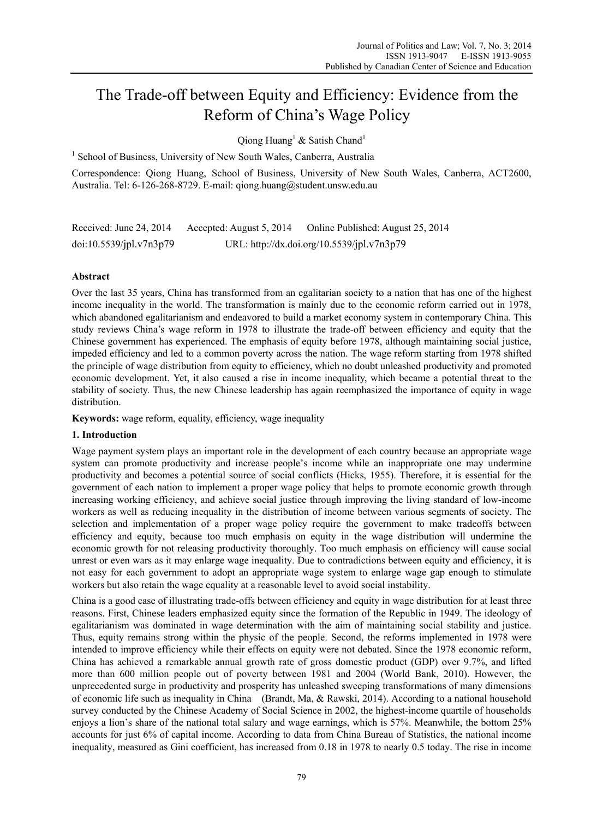# The Trade-off between Equity and Efficiency: Evidence from the Reform of China's Wage Policy

Qiong Huang<sup>1</sup> & Satish Chand<sup>1</sup>

<sup>1</sup> School of Business, University of New South Wales, Canberra, Australia

Correspondence: Qiong Huang, School of Business, University of New South Wales, Canberra, ACT2600, Australia. Tel: 6-126-268-8729. E-mail: qiong.huang@student.unsw.edu.au

Received: June 24, 2014 Accepted: August 5, 2014 Online Published: August 25, 2014 doi:10.5539/jpl.v7n3p79 URL: http://dx.doi.org/10.5539/jpl.v7n3p79

# **Abstract**

Over the last 35 years, China has transformed from an egalitarian society to a nation that has one of the highest income inequality in the world. The transformation is mainly due to the economic reform carried out in 1978, which abandoned egalitarianism and endeavored to build a market economy system in contemporary China. This study reviews China's wage reform in 1978 to illustrate the trade-off between efficiency and equity that the Chinese government has experienced. The emphasis of equity before 1978, although maintaining social justice, impeded efficiency and led to a common poverty across the nation. The wage reform starting from 1978 shifted the principle of wage distribution from equity to efficiency, which no doubt unleashed productivity and promoted economic development. Yet, it also caused a rise in income inequality, which became a potential threat to the stability of society. Thus, the new Chinese leadership has again reemphasized the importance of equity in wage distribution.

**Keywords:** wage reform, equality, efficiency, wage inequality

## **1. Introduction**

Wage payment system plays an important role in the development of each country because an appropriate wage system can promote productivity and increase people's income while an inappropriate one may undermine productivity and becomes a potential source of social conflicts (Hicks, 1955). Therefore, it is essential for the government of each nation to implement a proper wage policy that helps to promote economic growth through increasing working efficiency, and achieve social justice through improving the living standard of low-income workers as well as reducing inequality in the distribution of income between various segments of society. The selection and implementation of a proper wage policy require the government to make tradeoffs between efficiency and equity, because too much emphasis on equity in the wage distribution will undermine the economic growth for not releasing productivity thoroughly. Too much emphasis on efficiency will cause social unrest or even wars as it may enlarge wage inequality. Due to contradictions between equity and efficiency, it is not easy for each government to adopt an appropriate wage system to enlarge wage gap enough to stimulate workers but also retain the wage equality at a reasonable level to avoid social instability.

China is a good case of illustrating trade-offs between efficiency and equity in wage distribution for at least three reasons. First, Chinese leaders emphasized equity since the formation of the Republic in 1949. The ideology of egalitarianism was dominated in wage determination with the aim of maintaining social stability and justice. Thus, equity remains strong within the physic of the people. Second, the reforms implemented in 1978 were intended to improve efficiency while their effects on equity were not debated. Since the 1978 economic reform, China has achieved a remarkable annual growth rate of gross domestic product (GDP) over 9.7%, and lifted more than 600 million people out of poverty between 1981 and 2004 (World Bank, 2010). However, the unprecedented surge in productivity and prosperity has unleashed sweeping transformations of many dimensions of economic life such as inequality in China (Brandt, Ma, & Rawski, 2014). According to a national household survey conducted by the Chinese Academy of Social Science in 2002, the highest-income quartile of households enjoys a lion's share of the national total salary and wage earnings, which is 57%. Meanwhile, the bottom 25% accounts for just 6% of capital income. According to data from China Bureau of Statistics, the national income inequality, measured as Gini coefficient, has increased from 0.18 in 1978 to nearly 0.5 today. The rise in income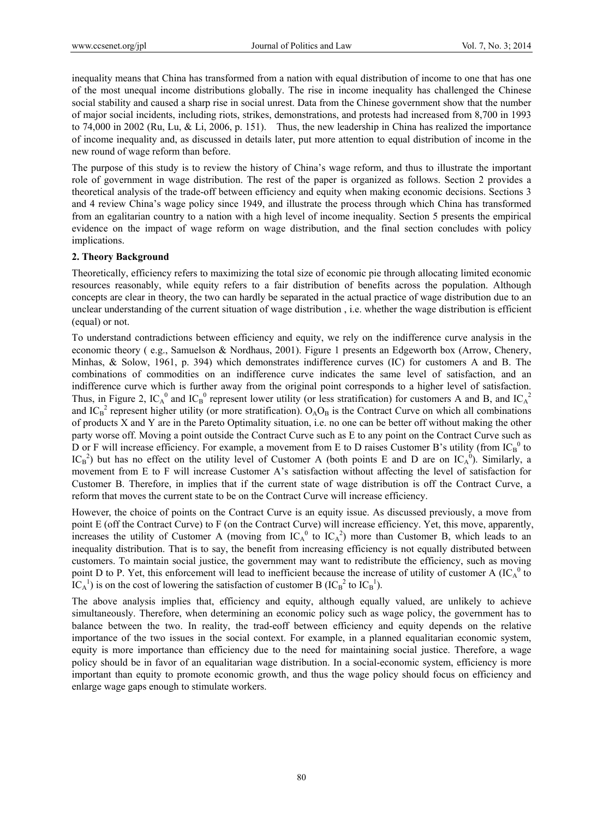inequality means that China has transformed from a nation with equal distribution of income to one that has one of the most unequal income distributions globally. The rise in income inequality has challenged the Chinese social stability and caused a sharp rise in social unrest. Data from the Chinese government show that the number of major social incidents, including riots, strikes, demonstrations, and protests had increased from 8,700 in 1993 to 74,000 in 2002 (Ru, Lu, & Li, 2006, p. 151). Thus, the new leadership in China has realized the importance of income inequality and, as discussed in details later, put more attention to equal distribution of income in the new round of wage reform than before.

The purpose of this study is to review the history of China's wage reform, and thus to illustrate the important role of government in wage distribution. The rest of the paper is organized as follows. Section 2 provides a theoretical analysis of the trade-off between efficiency and equity when making economic decisions. Sections 3 and 4 review China's wage policy since 1949, and illustrate the process through which China has transformed from an egalitarian country to a nation with a high level of income inequality. Section 5 presents the empirical evidence on the impact of wage reform on wage distribution, and the final section concludes with policy implications.

## **2. Theory Background**

Theoretically, efficiency refers to maximizing the total size of economic pie through allocating limited economic resources reasonably, while equity refers to a fair distribution of benefits across the population. Although concepts are clear in theory, the two can hardly be separated in the actual practice of wage distribution due to an unclear understanding of the current situation of wage distribution , i.e. whether the wage distribution is efficient (equal) or not.

To understand contradictions between efficiency and equity, we rely on the indifference curve analysis in the economic theory ( e.g., Samuelson & Nordhaus, 2001). Figure 1 presents an Edgeworth box (Arrow, Chenery, Minhas, & Solow, 1961, p. 394) which demonstrates indifference curves (IC) for customers A and B. The combinations of commodities on an indifference curve indicates the same level of satisfaction, and an indifference curve which is further away from the original point corresponds to a higher level of satisfaction. Thus, in Figure 2, IC<sub>A</sub><sup>0</sup> and IC<sub>B</sub><sup>0</sup> represent lower utility (or less stratification) for customers A and B, and IC<sub>A</sub><sup>2</sup> and  $IC_B^2$  represent higher utility (or more stratification).  $O_A O_B$  is the Contract Curve on which all combinations of products X and Y are in the Pareto Optimality situation, i.e. no one can be better off without making the other party worse off. Moving a point outside the Contract Curve such as E to any point on the Contract Curve such as D or F will increase efficiency. For example, a movement from E to D raises Customer B's utility (from  $IC_B^0$  to  $IC_B^2$ ) but has no effect on the utility level of Customer A (both points E and D are on  $IC_A^0$ ). Similarly, a movement from E to F will increase Customer A's satisfaction without affecting the level of satisfaction for Customer B. Therefore, in implies that if the current state of wage distribution is off the Contract Curve, a reform that moves the current state to be on the Contract Curve will increase efficiency.

However, the choice of points on the Contract Curve is an equity issue. As discussed previously, a move from point E (off the Contract Curve) to F (on the Contract Curve) will increase efficiency. Yet, this move, apparently, increases the utility of Customer A (moving from  $IC_A^0$  to  $IC_A^2$ ) more than Customer B, which leads to an inequality distribution. That is to say, the benefit from increasing efficiency is not equally distributed between customers. To maintain social justice, the government may want to redistribute the efficiency, such as moving point D to P. Yet, this enforcement will lead to inefficient because the increase of utility of customer A  $(IC_A^0$  to  $\overline{IC_A}^1$ ) is on the cost of lowering the satisfaction of customer B ( $\overline{IC_B}^2$  to  $\overline{IC_B}^1$ ).

The above analysis implies that, efficiency and equity, although equally valued, are unlikely to achieve simultaneously. Therefore, when determining an economic policy such as wage policy, the government has to balance between the two. In reality, the trad-eoff between efficiency and equity depends on the relative importance of the two issues in the social context. For example, in a planned equalitarian economic system, equity is more importance than efficiency due to the need for maintaining social justice. Therefore, a wage policy should be in favor of an equalitarian wage distribution. In a social-economic system, efficiency is more important than equity to promote economic growth, and thus the wage policy should focus on efficiency and enlarge wage gaps enough to stimulate workers.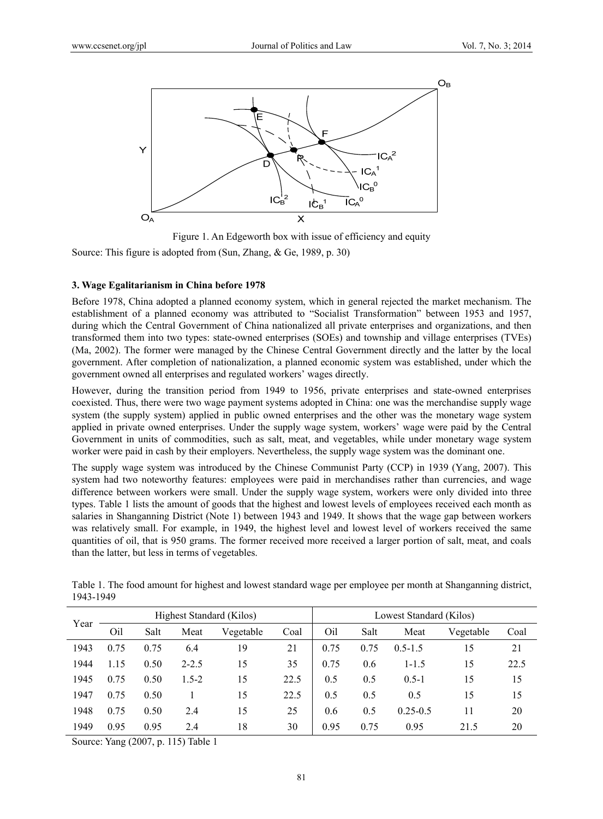

Figure 1. An Edgeworth box with issue of efficiency and equity

Source: This figure is adopted from (Sun, Zhang, & Ge, 1989, p. 30)

## **3. Wage Egalitarianism in China before 1978**

Before 1978, China adopted a planned economy system, which in general rejected the market mechanism. The establishment of a planned economy was attributed to "Socialist Transformation" between 1953 and 1957, during which the Central Government of China nationalized all private enterprises and organizations, and then transformed them into two types: state-owned enterprises (SOEs) and township and village enterprises (TVEs) (Ma, 2002). The former were managed by the Chinese Central Government directly and the latter by the local government. After completion of nationalization, a planned economic system was established, under which the government owned all enterprises and regulated workers' wages directly.

However, during the transition period from 1949 to 1956, private enterprises and state-owned enterprises coexisted. Thus, there were two wage payment systems adopted in China: one was the merchandise supply wage system (the supply system) applied in public owned enterprises and the other was the monetary wage system applied in private owned enterprises. Under the supply wage system, workers' wage were paid by the Central Government in units of commodities, such as salt, meat, and vegetables, while under monetary wage system worker were paid in cash by their employers. Nevertheless, the supply wage system was the dominant one.

The supply wage system was introduced by the Chinese Communist Party (CCP) in 1939 (Yang, 2007). This system had two noteworthy features: employees were paid in merchandises rather than currencies, and wage difference between workers were small. Under the supply wage system, workers were only divided into three types. Table 1 lists the amount of goods that the highest and lowest levels of employees received each month as salaries in Shanganning District (Note 1) between 1943 and 1949. It shows that the wage gap between workers was relatively small. For example, in 1949, the highest level and lowest level of workers received the same quantities of oil, that is 950 grams. The former received more received a larger portion of salt, meat, and coals than the latter, but less in terms of vegetables.

| Year | Highest Standard (Kilos) |      |           |           | Lowest Standard (Kilos) |      |      |              |           |      |
|------|--------------------------|------|-----------|-----------|-------------------------|------|------|--------------|-----------|------|
|      | Oil                      | Salt | Meat      | Vegetable | Coal                    | Oil  | Salt | Meat         | Vegetable | Coal |
| 1943 | 0.75                     | 0.75 | 6.4       | 19        | 21                      | 0.75 | 0.75 | $0.5 - 1.5$  | 15        | 21   |
| 1944 | 1.15                     | 0.50 | $2 - 2.5$ | 15        | 35                      | 0.75 | 0.6  | $1 - 1.5$    | 15        | 22.5 |
| 1945 | 0.75                     | 0.50 | $1.5 - 2$ | 15        | 22.5                    | 0.5  | 0.5  | $0.5 - 1$    | 15        | 15   |
| 1947 | 0.75                     | 0.50 |           | 15        | 22.5                    | 0.5  | 0.5  | 0.5          | 15        | 15   |
| 1948 | 0.75                     | 0.50 | 2.4       | 15        | 25                      | 0.6  | 0.5  | $0.25 - 0.5$ | 11        | 20   |
| 1949 | 0.95                     | 0.95 | 2.4       | 18        | 30                      | 0.95 | 0.75 | 0.95         | 21.5      | 20   |

Table 1. The food amount for highest and lowest standard wage per employee per month at Shanganning district, 1943-1949

Source: Yang (2007, p. 115) Table 1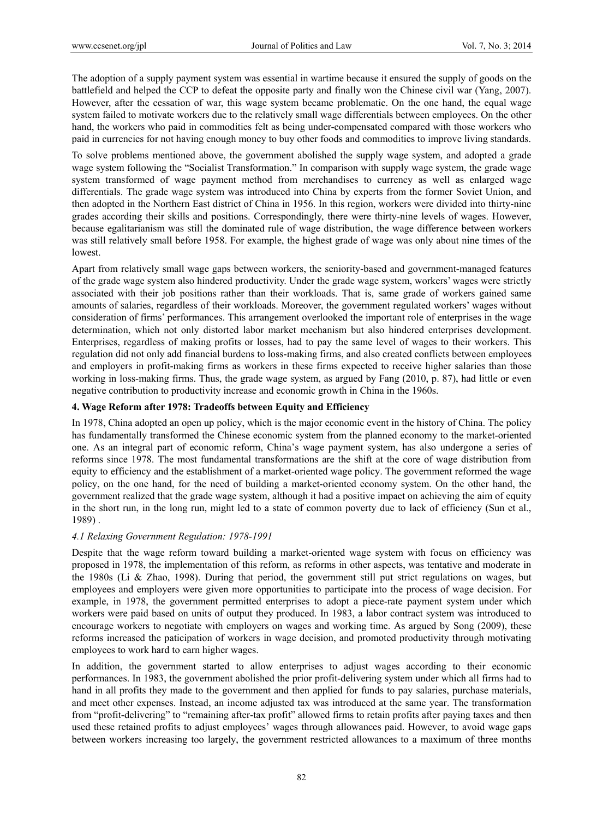The adoption of a supply payment system was essential in wartime because it ensured the supply of goods on the battlefield and helped the CCP to defeat the opposite party and finally won the Chinese civil war (Yang, 2007). However, after the cessation of war, this wage system became problematic. On the one hand, the equal wage system failed to motivate workers due to the relatively small wage differentials between employees. On the other hand, the workers who paid in commodities felt as being under-compensated compared with those workers who paid in currencies for not having enough money to buy other foods and commodities to improve living standards.

To solve problems mentioned above, the government abolished the supply wage system, and adopted a grade wage system following the "Socialist Transformation." In comparison with supply wage system, the grade wage system transformed of wage payment method from merchandises to currency as well as enlarged wage differentials. The grade wage system was introduced into China by experts from the former Soviet Union, and then adopted in the Northern East district of China in 1956. In this region, workers were divided into thirty-nine grades according their skills and positions. Correspondingly, there were thirty-nine levels of wages. However, because egalitarianism was still the dominated rule of wage distribution, the wage difference between workers was still relatively small before 1958. For example, the highest grade of wage was only about nine times of the lowest.

Apart from relatively small wage gaps between workers, the seniority-based and government-managed features of the grade wage system also hindered productivity. Under the grade wage system, workers' wages were strictly associated with their job positions rather than their workloads. That is, same grade of workers gained same amounts of salaries, regardless of their workloads. Moreover, the government regulated workers' wages without consideration of firms' performances. This arrangement overlooked the important role of enterprises in the wage determination, which not only distorted labor market mechanism but also hindered enterprises development. Enterprises, regardless of making profits or losses, had to pay the same level of wages to their workers. This regulation did not only add financial burdens to loss-making firms, and also created conflicts between employees and employers in profit-making firms as workers in these firms expected to receive higher salaries than those working in loss-making firms. Thus, the grade wage system, as argued by Fang (2010, p. 87), had little or even negative contribution to productivity increase and economic growth in China in the 1960s.

# **4. Wage Reform after 1978: Tradeoffs between Equity and Efficiency**

In 1978, China adopted an open up policy, which is the major economic event in the history of China. The policy has fundamentally transformed the Chinese economic system from the planned economy to the market-oriented one. As an integral part of economic reform, China's wage payment system, has also undergone a series of reforms since 1978. The most fundamental transformations are the shift at the core of wage distribution from equity to efficiency and the establishment of a market-oriented wage policy. The government reformed the wage policy, on the one hand, for the need of building a market-oriented economy system. On the other hand, the government realized that the grade wage system, although it had a positive impact on achieving the aim of equity in the short run, in the long run, might led to a state of common poverty due to lack of efficiency (Sun et al., 1989) .

## *4.1 Relaxing Government Regulation: 1978-1991*

Despite that the wage reform toward building a market-oriented wage system with focus on efficiency was proposed in 1978, the implementation of this reform, as reforms in other aspects, was tentative and moderate in the 1980s (Li & Zhao, 1998). During that period, the government still put strict regulations on wages, but employees and employers were given more opportunities to participate into the process of wage decision. For example, in 1978, the government permitted enterprises to adopt a piece-rate payment system under which workers were paid based on units of output they produced. In 1983, a labor contract system was introduced to encourage workers to negotiate with employers on wages and working time. As argued by Song (2009), these reforms increased the paticipation of workers in wage decision, and promoted productivity through motivating employees to work hard to earn higher wages.

In addition, the government started to allow enterprises to adjust wages according to their economic performances. In 1983, the government abolished the prior profit-delivering system under which all firms had to hand in all profits they made to the government and then applied for funds to pay salaries, purchase materials, and meet other expenses. Instead, an income adjusted tax was introduced at the same year. The transformation from "profit-delivering" to "remaining after-tax profit" allowed firms to retain profits after paying taxes and then used these retained profits to adjust employees' wages through allowances paid. However, to avoid wage gaps between workers increasing too largely, the government restricted allowances to a maximum of three months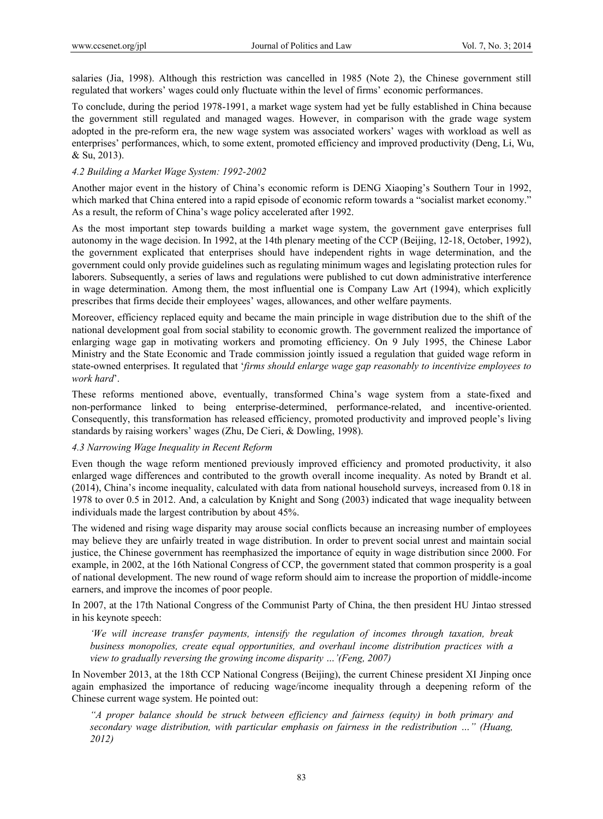salaries (Jia, 1998). Although this restriction was cancelled in 1985 (Note 2), the Chinese government still regulated that workers' wages could only fluctuate within the level of firms' economic performances.

To conclude, during the period 1978-1991, a market wage system had yet be fully established in China because the government still regulated and managed wages. However, in comparison with the grade wage system adopted in the pre-reform era, the new wage system was associated workers' wages with workload as well as enterprises' performances, which, to some extent, promoted efficiency and improved productivity (Deng, Li, Wu, & Su, 2013).

## *4.2 Building a Market Wage System: 1992-2002*

Another major event in the history of China's economic reform is DENG Xiaoping's Southern Tour in 1992, which marked that China entered into a rapid episode of economic reform towards a "socialist market economy." As a result, the reform of China's wage policy accelerated after 1992.

As the most important step towards building a market wage system, the government gave enterprises full autonomy in the wage decision. In 1992, at the 14th plenary meeting of the CCP (Beijing, 12-18, October, 1992), the government explicated that enterprises should have independent rights in wage determination, and the government could only provide guidelines such as regulating minimum wages and legislating protection rules for laborers. Subsequently, a series of laws and regulations were published to cut down administrative interference in wage determination. Among them, the most influential one is Company Law Art (1994), which explicitly prescribes that firms decide their employees' wages, allowances, and other welfare payments.

Moreover, efficiency replaced equity and became the main principle in wage distribution due to the shift of the national development goal from social stability to economic growth. The government realized the importance of enlarging wage gap in motivating workers and promoting efficiency. On 9 July 1995, the Chinese Labor Ministry and the State Economic and Trade commission jointly issued a regulation that guided wage reform in state-owned enterprises. It regulated that '*firms should enlarge wage gap reasonably to incentivize employees to work hard*'.

These reforms mentioned above, eventually, transformed China's wage system from a state-fixed and non-performance linked to being enterprise-determined, performance-related, and incentive-oriented. Consequently, this transformation has released efficiency, promoted productivity and improved people's living standards by raising workers' wages (Zhu, De Cieri, & Dowling, 1998).

## *4.3 Narrowing Wage Inequality in Recent Reform*

Even though the wage reform mentioned previously improved efficiency and promoted productivity, it also enlarged wage differences and contributed to the growth overall income inequality. As noted by Brandt et al. (2014), China's income inequality, calculated with data from national household surveys, increased from 0.18 in 1978 to over 0.5 in 2012. And, a calculation by Knight and Song (2003) indicated that wage inequality between individuals made the largest contribution by about 45%.

The widened and rising wage disparity may arouse social conflicts because an increasing number of employees may believe they are unfairly treated in wage distribution. In order to prevent social unrest and maintain social justice, the Chinese government has reemphasized the importance of equity in wage distribution since 2000. For example, in 2002, at the 16th National Congress of CCP, the government stated that common prosperity is a goal of national development. The new round of wage reform should aim to increase the proportion of middle-income earners, and improve the incomes of poor people.

In 2007, at the 17th National Congress of the Communist Party of China, the then president HU Jintao stressed in his keynote speech:

*'We will increase transfer payments, intensify the regulation of incomes through taxation, break business monopolies, create equal opportunities, and overhaul income distribution practices with a view to gradually reversing the growing income disparity …'(Feng, 2007)* 

In November 2013, at the 18th CCP National Congress (Beijing), the current Chinese president XI Jinping once again emphasized the importance of reducing wage/income inequality through a deepening reform of the Chinese current wage system. He pointed out:

*"A proper balance should be struck between efficiency and fairness (equity) in both primary and secondary wage distribution, with particular emphasis on fairness in the redistribution …" (Huang, 2012)*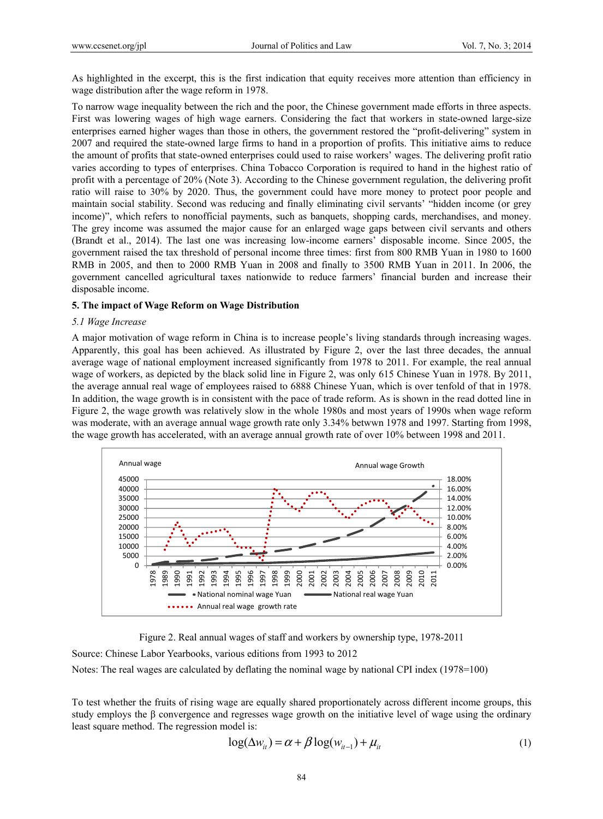As highlighted in the excerpt, this is the first indication that equity receives more attention than efficiency in wage distribution after the wage reform in 1978.

To narrow wage inequality between the rich and the poor, the Chinese government made efforts in three aspects. First was lowering wages of high wage earners. Considering the fact that workers in state-owned large-size enterprises earned higher wages than those in others, the government restored the "profit-delivering" system in 2007 and required the state-owned large firms to hand in a proportion of profits. This initiative aims to reduce the amount of profits that state-owned enterprises could used to raise workers' wages. The delivering profit ratio varies according to types of enterprises. China Tobacco Corporation is required to hand in the highest ratio of profit with a percentage of 20% (Note 3). According to the Chinese government regulation, the delivering profit ratio will raise to 30% by 2020. Thus, the government could have more money to protect poor people and maintain social stability. Second was reducing and finally eliminating civil servants' "hidden income (or grey income)", which refers to nonofficial payments, such as banquets, shopping cards, merchandises, and money. The grey income was assumed the major cause for an enlarged wage gaps between civil servants and others (Brandt et al., 2014). The last one was increasing low-income earners' disposable income. Since 2005, the government raised the tax threshold of personal income three times: first from 800 RMB Yuan in 1980 to 1600 RMB in 2005, and then to 2000 RMB Yuan in 2008 and finally to 3500 RMB Yuan in 2011. In 2006, the government cancelled agricultural taxes nationwide to reduce farmers' financial burden and increase their disposable income.

#### **5. The impact of Wage Reform on Wage Distribution**

#### *5.1 Wage Increase*

A major motivation of wage reform in China is to increase people's living standards through increasing wages. Apparently, this goal has been achieved. As illustrated by Figure 2, over the last three decades, the annual average wage of national employment increased significantly from 1978 to 2011. For example, the real annual wage of workers, as depicted by the black solid line in Figure 2, was only 615 Chinese Yuan in 1978. By 2011, the average annual real wage of employees raised to 6888 Chinese Yuan, which is over tenfold of that in 1978. In addition, the wage growth is in consistent with the pace of trade reform. As is shown in the read dotted line in Figure 2, the wage growth was relatively slow in the whole 1980s and most years of 1990s when wage reform was moderate, with an average annual wage growth rate only 3.34% betwwn 1978 and 1997. Starting from 1998, the wage growth has accelerated, with an average annual growth rate of over 10% between 1998 and 2011.



Figure 2. Real annual wages of staff and workers by ownership type, 1978-2011

Source: Chinese Labor Yearbooks, various editions from 1993 to 2012

Notes: The real wages are calculated by deflating the nominal wage by national CPI index (1978=100)

To test whether the fruits of rising wage are equally shared proportionately across different income groups, this study employs the β convergence and regresses wage growth on the initiative level of wage using the ordinary least square method. The regression model is:

$$
\log(\Delta w_{it}) = \alpha + \beta \log(w_{it-1}) + \mu_{it}
$$
 (1)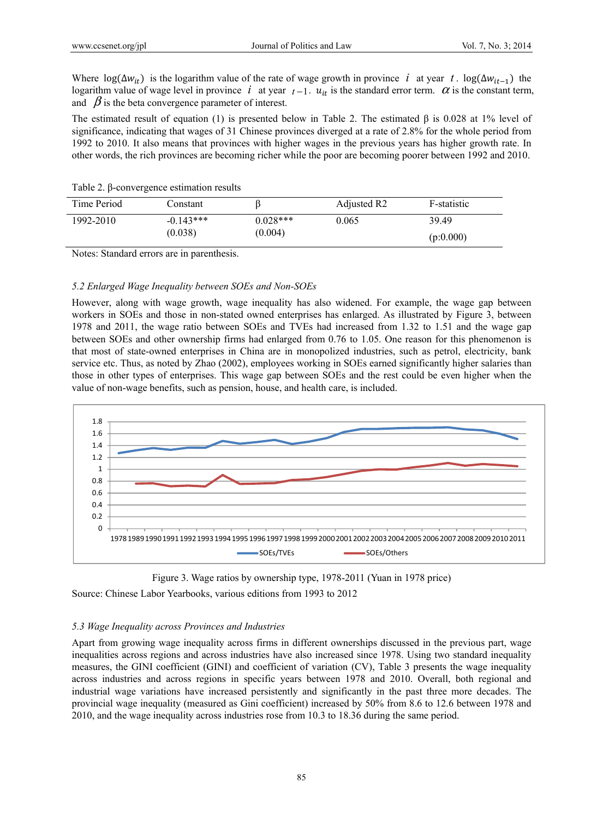Where  $\log(\Delta w_{it})$  is the logarithm value of the rate of wage growth in province *i* at year *t*. log( $\Delta w_{it-1}$ ) the logarithm value of wage level in province *i* at year  $t-1$ .  $u_{it}$  is the standard error term.  $\alpha$  is the constant term, and  $\beta$  is the beta convergence parameter of interest.

The estimated result of equation (1) is presented below in Table 2. The estimated  $\beta$  is 0.028 at 1% level of significance, indicating that wages of 31 Chinese provinces diverged at a rate of 2.8% for the whole period from 1992 to 2010. It also means that provinces with higher wages in the previous years has higher growth rate. In other words, the rich provinces are becoming richer while the poor are becoming poorer between 1992 and 2010.

| Time Period | Constant    |            | Adjusted R <sub>2</sub> | F-statistic |  |
|-------------|-------------|------------|-------------------------|-------------|--|
| 1992-2010   | $-0.143***$ | $0.028***$ | 0.065                   | 39.49       |  |
|             | (0.038)     | (0.004)    |                         | (p:0.000)   |  |

Table 2. β-convergence estimation results

Notes: Standard errors are in parenthesis.

## *5.2 Enlarged Wage Inequality between SOEs and Non-SOEs*

However, along with wage growth, wage inequality has also widened. For example, the wage gap between workers in SOEs and those in non-stated owned enterprises has enlarged. As illustrated by Figure 3, between 1978 and 2011, the wage ratio between SOEs and TVEs had increased from 1.32 to 1.51 and the wage gap between SOEs and other ownership firms had enlarged from 0.76 to 1.05. One reason for this phenomenon is that most of state-owned enterprises in China are in monopolized industries, such as petrol, electricity, bank service etc. Thus, as noted by Zhao (2002), employees working in SOEs earned significantly higher salaries than those in other types of enterprises. This wage gap between SOEs and the rest could be even higher when the value of non-wage benefits, such as pension, house, and health care, is included.



Figure 3. Wage ratios by ownership type, 1978-2011 (Yuan in 1978 price)

Source: Chinese Labor Yearbooks, various editions from 1993 to 2012

# *5.3 Wage Inequality across Provinces and Industries*

Apart from growing wage inequality across firms in different ownerships discussed in the previous part, wage inequalities across regions and across industries have also increased since 1978. Using two standard inequality measures, the GINI coefficient (GINI) and coefficient of variation (CV), Table 3 presents the wage inequality across industries and across regions in specific years between 1978 and 2010. Overall, both regional and industrial wage variations have increased persistently and significantly in the past three more decades. The provincial wage inequality (measured as Gini coefficient) increased by 50% from 8.6 to 12.6 between 1978 and 2010, and the wage inequality across industries rose from 10.3 to 18.36 during the same period.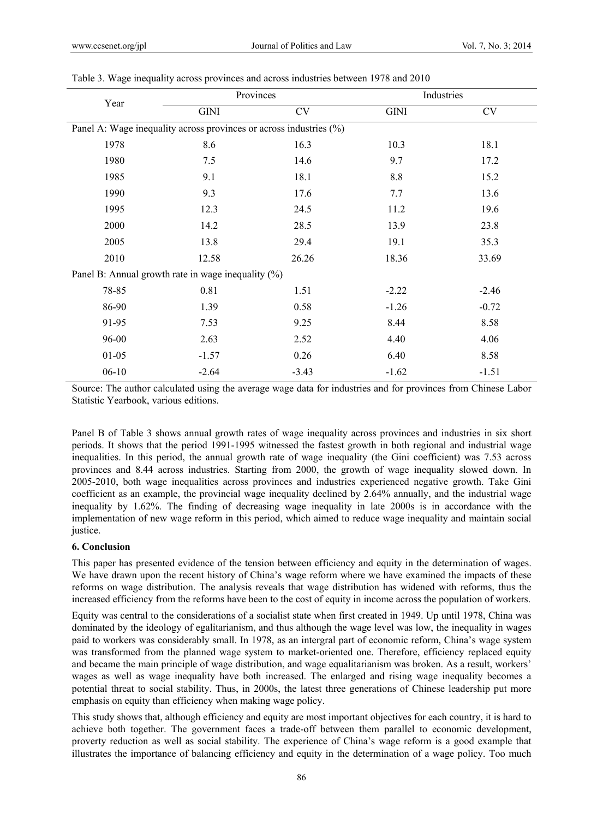| Year                                                               |             | Provinces | Industries  |           |  |  |  |
|--------------------------------------------------------------------|-------------|-----------|-------------|-----------|--|--|--|
|                                                                    | <b>GINI</b> | <b>CV</b> | <b>GINI</b> | <b>CV</b> |  |  |  |
| Panel A: Wage inequality across provinces or across industries (%) |             |           |             |           |  |  |  |
| 1978                                                               | 8.6         | 16.3      | 10.3        | 18.1      |  |  |  |
| 1980                                                               | 7.5         | 14.6      | 9.7         | 17.2      |  |  |  |
| 1985                                                               | 9.1         | 18.1      | 8.8         | 15.2      |  |  |  |
| 1990                                                               | 9.3         | 17.6      | 7.7         | 13.6      |  |  |  |
| 1995                                                               | 12.3        | 24.5      | 11.2        | 19.6      |  |  |  |
| 2000                                                               | 14.2        | 28.5      | 13.9        | 23.8      |  |  |  |
| 2005                                                               | 13.8        | 29.4      | 19.1        | 35.3      |  |  |  |
| 2010                                                               | 12.58       | 26.26     | 18.36       | 33.69     |  |  |  |
| Panel B: Annual growth rate in wage inequality $(\%)$              |             |           |             |           |  |  |  |
| 78-85                                                              | 0.81        | 1.51      | $-2.22$     | $-2.46$   |  |  |  |
| 86-90                                                              | 1.39        | 0.58      | $-1.26$     | $-0.72$   |  |  |  |
| 91-95                                                              | 7.53        | 9.25      | 8.44        | 8.58      |  |  |  |
| 96-00                                                              | 2.63        | 2.52      | 4.40        | 4.06      |  |  |  |
| $01 - 05$                                                          | $-1.57$     | 0.26      | 6.40        | 8.58      |  |  |  |
| $06-10$                                                            | $-2.64$     | $-3.43$   | $-1.62$     | $-1.51$   |  |  |  |

Table 3. Wage inequality across provinces and across industries between 1978 and 2010

Source: The author calculated using the average wage data for industries and for provinces from Chinese Labor Statistic Yearbook, various editions.

Panel B of Table 3 shows annual growth rates of wage inequality across provinces and industries in six short periods. It shows that the period 1991-1995 witnessed the fastest growth in both regional and industrial wage inequalities. In this period, the annual growth rate of wage inequality (the Gini coefficient) was 7.53 across provinces and 8.44 across industries. Starting from 2000, the growth of wage inequality slowed down. In 2005-2010, both wage inequalities across provinces and industries experienced negative growth. Take Gini coefficient as an example, the provincial wage inequality declined by 2.64% annually, and the industrial wage inequality by 1.62%. The finding of decreasing wage inequality in late 2000s is in accordance with the implementation of new wage reform in this period, which aimed to reduce wage inequality and maintain social justice.

## **6. Conclusion**

This paper has presented evidence of the tension between efficiency and equity in the determination of wages. We have drawn upon the recent history of China's wage reform where we have examined the impacts of these reforms on wage distribution. The analysis reveals that wage distribution has widened with reforms, thus the increased efficiency from the reforms have been to the cost of equity in income across the population of workers.

Equity was central to the considerations of a socialist state when first created in 1949. Up until 1978, China was dominated by the ideology of egalitarianism, and thus although the wage level was low, the inequality in wages paid to workers was considerably small. In 1978, as an intergral part of economic reform, China's wage system was transformed from the planned wage system to market-oriented one. Therefore, efficiency replaced equity and became the main principle of wage distribution, and wage equalitarianism was broken. As a result, workers' wages as well as wage inequality have both increased. The enlarged and rising wage inequality becomes a potential threat to social stability. Thus, in 2000s, the latest three generations of Chinese leadership put more emphasis on equity than efficiency when making wage policy.

This study shows that, although efficiency and equity are most important objectives for each country, it is hard to achieve both together. The government faces a trade-off between them parallel to economic development, proverty reduction as well as social stability. The experience of China's wage reform is a good example that illustrates the importance of balancing efficiency and equity in the determination of a wage policy. Too much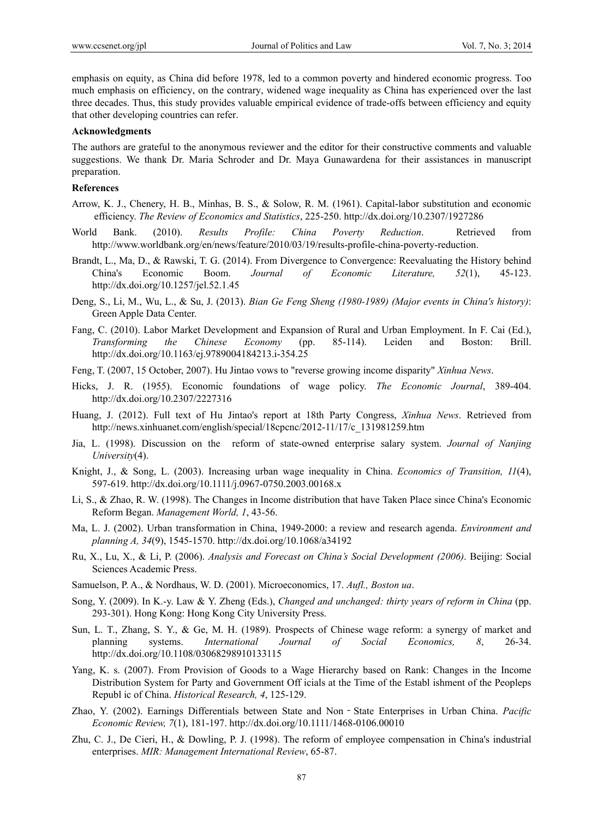emphasis on equity, as China did before 1978, led to a common poverty and hindered economic progress. Too much emphasis on efficiency, on the contrary, widened wage inequality as China has experienced over the last three decades. Thus, this study provides valuable empirical evidence of trade-offs between efficiency and equity that other developing countries can refer.

#### **Acknowledgments**

The authors are grateful to the anonymous reviewer and the editor for their constructive comments and valuable suggestions. We thank Dr. Maria Schroder and Dr. Maya Gunawardena for their assistances in manuscript preparation.

## **References**

- Arrow, K. J., Chenery, H. B., Minhas, B. S., & Solow, R. M. (1961). Capital-labor substitution and economic efficiency. *The Review of Economics and Statistics*, 225-250. http://dx.doi.org/10.2307/1927286
- World Bank. (2010). *Results Profile: China Poverty Reduction*. Retrieved from http://www.worldbank.org/en/news/feature/2010/03/19/results-profile-china-poverty-reduction.
- Brandt, L., Ma, D., & Rawski, T. G. (2014). From Divergence to Convergence: Reevaluating the History behind China's Economic Boom. *Journal of Economic Literature, 52*(1), 45-123. http://dx.doi.org/10.1257/jel.52.1.45
- Deng, S., Li, M., Wu, L., & Su, J. (2013). *Bian Ge Feng Sheng (1980-1989) (Major events in China's history)*: Green Apple Data Center.
- Fang, C. (2010). Labor Market Development and Expansion of Rural and Urban Employment. In F. Cai (Ed.), *Transforming the Chinese Economy* (pp. 85-114). Leiden and Boston: Brill. http://dx.doi.org/10.1163/ej.9789004184213.i-354.25
- Feng, T. (2007, 15 October, 2007). Hu Jintao vows to "reverse growing income disparity" *Xinhua News*.
- Hicks, J. R. (1955). Economic foundations of wage policy. *The Economic Journal*, 389-404. http://dx.doi.org/10.2307/2227316
- Huang, J. (2012). Full text of Hu Jintao's report at 18th Party Congress, *Xinhua News*. Retrieved from http://news.xinhuanet.com/english/special/18cpcnc/2012-11/17/c\_131981259.htm
- Jia, L. (1998). Discussion on the reform of state-owned enterprise salary system. *Journal of Nanjing University*(4).
- Knight, J., & Song, L. (2003). Increasing urban wage inequality in China. *Economics of Transition, 11*(4), 597-619. http://dx.doi.org/10.1111/j.0967-0750.2003.00168.x
- Li, S., & Zhao, R. W. (1998). The Changes in Income distribution that have Taken Place since China's Economic Reform Began. *Management World, 1*, 43-56.
- Ma, L. J. (2002). Urban transformation in China, 1949-2000: a review and research agenda. *Environment and planning A, 34*(9), 1545-1570. http://dx.doi.org/10.1068/a34192
- Ru, X., Lu, X., & Li, P. (2006). *Analysis and Forecast on China's Social Development (2006)*. Beijing: Social Sciences Academic Press.
- Samuelson, P. A., & Nordhaus, W. D. (2001). Microeconomics, 17. *Aufl., Boston ua*.
- Song, Y. (2009). In K.-y. Law & Y. Zheng (Eds.), *Changed and unchanged: thirty years of reform in China* (pp. 293-301). Hong Kong: Hong Kong City University Press.
- Sun, L. T., Zhang, S. Y., & Ge, M. H. (1989). Prospects of Chinese wage reform: a synergy of market and planning systems. *International Journal of Social Economics, 8*, 26-34. http://dx.doi.org/10.1108/03068298910133115
- Yang, K. s. (2007). From Provision of Goods to a Wage Hierarchy based on Rank: Changes in the Income Distribution System for Party and Government Off icials at the Time of the Establ ishment of the Peopleps Republ ic of China. *Historical Research, 4*, 125-129.
- Zhao, Y. (2002). Earnings Differentials between State and Non‐State Enterprises in Urban China. *Pacific Economic Review, 7*(1), 181-197. http://dx.doi.org/10.1111/1468-0106.00010
- Zhu, C. J., De Cieri, H., & Dowling, P. J. (1998). The reform of employee compensation in China's industrial enterprises. *MIR: Management International Review*, 65-87.